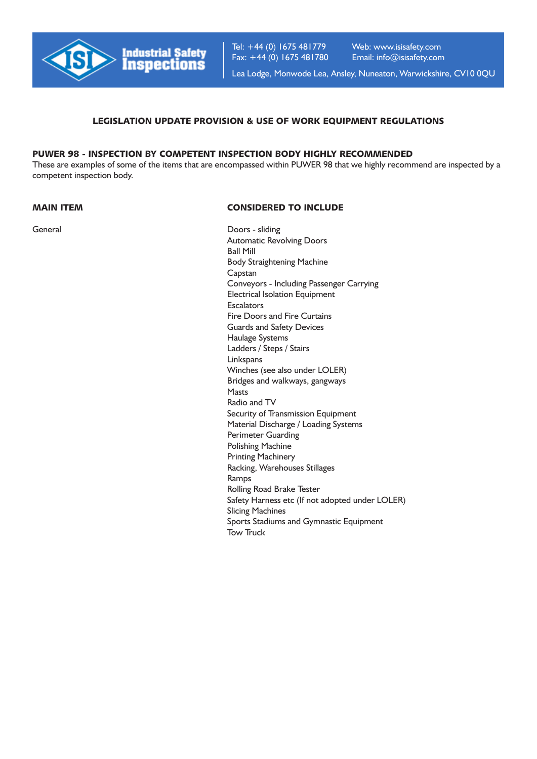

Tel: +44 (0) 1675 481779 Fax: +44 (0) 1675 481780 Web: www.isisafety.com Email: info@isisafety.com

Lea Lodge, Monwode Lea, Ansley, Nuneaton, Warwickshire, CV10 0QU

## LEGISLATION UPDATE PROVISION & USE OF WORK EQUIPMENT REGULATIONS

# PUWER 98 - INSPECTION BY COMPETENT INSPECTION BODY HIGHLY RECOMMENDED

These are examples of some of the items that are encompassed within PUWER 98 that we highly recommend are inspected by a competent inspection body.

## MAIN ITEM CONSIDERED TO INCLUDE

General Doors - sliding Automatic Revolving Doors Ball Mill Body Straightening Machine Capstan Conveyors - Including Passenger Carrying Electrical Isolation Equipment **Escalators** Fire Doors and Fire Curtains Guards and Safety Devices Haulage Systems Ladders / Steps / Stairs Linkspans Winches (see also under LOLER) Bridges and walkways, gangways Masts Radio and TV Security of Transmission Equipment Material Discharge / Loading Systems Perimeter Guarding Polishing Machine Printing Machinery Racking, Warehouses Stillages Ramps Rolling Road Brake Tester Safety Harness etc (If not adopted under LOLER) Slicing Machines Sports Stadiums and Gymnastic Equipment Tow Truck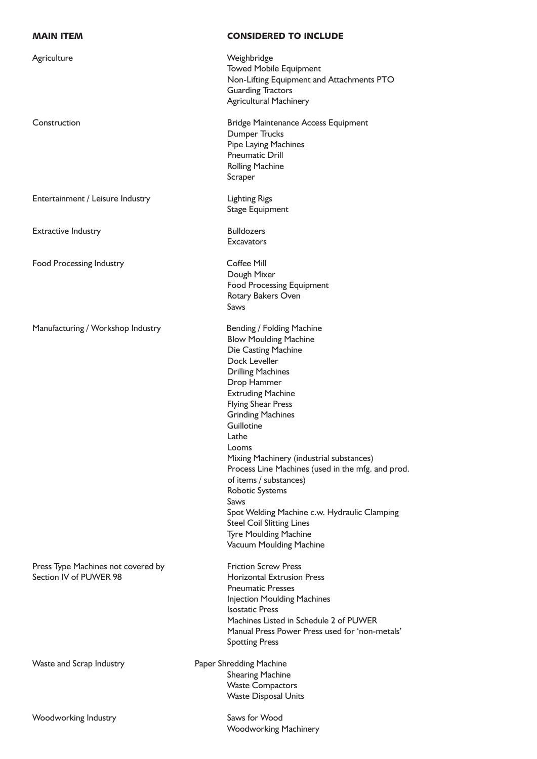| <b>MAIN ITEM</b>                                             | <b>CONSIDERED TO INCLUDE</b>                                                                                                                                                                                                                                                                                                                                                                                                                                                                                                                                           |
|--------------------------------------------------------------|------------------------------------------------------------------------------------------------------------------------------------------------------------------------------------------------------------------------------------------------------------------------------------------------------------------------------------------------------------------------------------------------------------------------------------------------------------------------------------------------------------------------------------------------------------------------|
| Agriculture                                                  | Weighbridge<br><b>Towed Mobile Equipment</b><br>Non-Lifting Equipment and Attachments PTO<br><b>Guarding Tractors</b><br><b>Agricultural Machinery</b>                                                                                                                                                                                                                                                                                                                                                                                                                 |
| Construction                                                 | <b>Bridge Maintenance Access Equipment</b><br><b>Dumper Trucks</b><br>Pipe Laying Machines<br><b>Pneumatic Drill</b><br><b>Rolling Machine</b><br>Scraper                                                                                                                                                                                                                                                                                                                                                                                                              |
| Entertainment / Leisure Industry                             | <b>Lighting Rigs</b><br><b>Stage Equipment</b>                                                                                                                                                                                                                                                                                                                                                                                                                                                                                                                         |
| <b>Extractive Industry</b>                                   | <b>Bulldozers</b><br><b>Excavators</b>                                                                                                                                                                                                                                                                                                                                                                                                                                                                                                                                 |
| Food Processing Industry                                     | <b>Coffee Mill</b><br>Dough Mixer<br><b>Food Processing Equipment</b><br>Rotary Bakers Oven<br>Saws                                                                                                                                                                                                                                                                                                                                                                                                                                                                    |
| Manufacturing / Workshop Industry                            | Bending / Folding Machine<br><b>Blow Moulding Machine</b><br>Die Casting Machine<br>Dock Leveller<br><b>Drilling Machines</b><br>Drop Hammer<br><b>Extruding Machine</b><br><b>Flying Shear Press</b><br><b>Grinding Machines</b><br>Guillotine<br>Lathe<br>Looms<br>Mixing Machinery (industrial substances)<br>Process Line Machines (used in the mfg. and prod.<br>of items / substances)<br>Robotic Systems<br>Saws<br>Spot Welding Machine c.w. Hydraulic Clamping<br><b>Steel Coil Slitting Lines</b><br><b>Tyre Moulding Machine</b><br>Vacuum Moulding Machine |
| Press Type Machines not covered by<br>Section IV of PUWER 98 | <b>Friction Screw Press</b><br><b>Horizontal Extrusion Press</b><br><b>Pneumatic Presses</b><br><b>Injection Moulding Machines</b><br><b>Isostatic Press</b><br>Machines Listed in Schedule 2 of PUWER<br>Manual Press Power Press used for 'non-metals'<br><b>Spotting Press</b>                                                                                                                                                                                                                                                                                      |
| Waste and Scrap Industry                                     | Paper Shredding Machine<br><b>Shearing Machine</b><br><b>Waste Compactors</b><br><b>Waste Disposal Units</b>                                                                                                                                                                                                                                                                                                                                                                                                                                                           |
| Woodworking Industry                                         | Saws for Wood<br><b>Woodworking Machinery</b>                                                                                                                                                                                                                                                                                                                                                                                                                                                                                                                          |